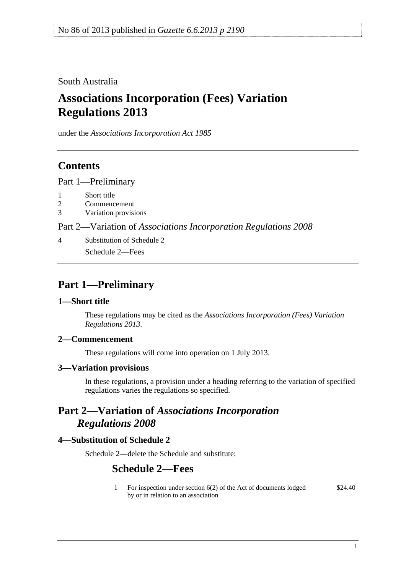<span id="page-0-0"></span>South Australia

# **Associations Incorporation (Fees) Variation Regulations 2013**

under the *Associations Incorporation Act 1985*

## **Contents**

[Part 1—Preliminary](#page-0-0)

- [1 Short title](#page-0-0)
- [2 Commencement](#page-0-0)
- [3 Variation provisions](#page-0-0)

Part 2—Variation of *[Associations Incorporation Regulations 2008](#page-0-0)*

[4 Substitution of Schedule 2](#page-0-0) [Schedule 2—Fees](#page-0-0) 

## **Part 1—Preliminary**

#### **1—Short title**

These regulations may be cited as the *Associations Incorporation (Fees) Variation Regulations 2013*.

## **2—Commencement**

These regulations will come into operation on 1 July 2013.

#### **3—Variation provisions**

In these regulations, a provision under a heading referring to the variation of specified regulations varies the regulations so specified.

## **Part 2—Variation of** *Associations Incorporation Regulations 2008*

## **4—Substitution of Schedule 2**

Schedule 2—delete the Schedule and substitute:

## **Schedule 2—Fees**

1 For inspection under section 6(2) of the Act of documents lodged by or in relation to an association \$24.40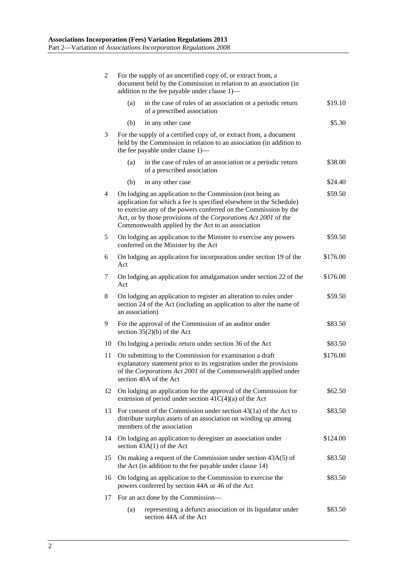| $\overline{2}$ | For the supply of an uncertified copy of, or extract from, a<br>document held by the Commission in relation to an association (in<br>addition to the fee payable under clause 1)-                                                                                                                                            |          |
|----------------|------------------------------------------------------------------------------------------------------------------------------------------------------------------------------------------------------------------------------------------------------------------------------------------------------------------------------|----------|
|                | in the case of rules of an association or a periodic return<br>(a)<br>of a prescribed association                                                                                                                                                                                                                            | \$19.10  |
|                | (b)<br>in any other case                                                                                                                                                                                                                                                                                                     | \$5.30   |
| 3              | For the supply of a certified copy of, or extract from, a document<br>held by the Commission in relation to an association (in addition to<br>the fee payable under clause 1)—                                                                                                                                               |          |
|                | in the case of rules of an association or a periodic return<br>(a)<br>of a prescribed association                                                                                                                                                                                                                            | \$38.00  |
|                | (b)<br>in any other case                                                                                                                                                                                                                                                                                                     | \$24.40  |
| 4              | On lodging an application to the Commission (not being an<br>application for which a fee is specified elsewhere in the Schedule)<br>to exercise any of the powers conferred on the Commission by the<br>Act, or by those provisions of the Corporations Act 2001 of the<br>Commonwealth applied by the Act to an association |          |
| 5              | On lodging an application to the Minister to exercise any powers<br>conferred on the Minister by the Act                                                                                                                                                                                                                     | \$59.50  |
| 6              | On lodging an application for incorporation under section 19 of the<br>Act                                                                                                                                                                                                                                                   | \$176.00 |
| 7              | On lodging an application for amalgamation under section 22 of the<br>Act                                                                                                                                                                                                                                                    | \$176.00 |
| 8              | On lodging an application to register an alteration to rules under<br>section 24 of the Act (including an application to alter the name of<br>an association)                                                                                                                                                                | \$59.50  |
| 9              | For the approval of the Commission of an auditor under<br>section $35(2)(b)$ of the Act                                                                                                                                                                                                                                      | \$83.50  |
| 10             | On lodging a periodic return under section 36 of the Act                                                                                                                                                                                                                                                                     | \$83.50  |
| 11             | On submitting to the Commission for examination a draft<br>explanatory statement prior to its registration under the provisions<br>of the Corporations Act 2001 of the Commonwealth applied under<br>section 40A of the Act                                                                                                  | \$176.00 |
| 12             | On lodging an application for the approval of the Commission for<br>extension of period under section $41C(4)(a)$ of the Act                                                                                                                                                                                                 | \$62.50  |
|                | 13 For consent of the Commission under section 43(1a) of the Act to<br>distribute surplus assets of an association on winding up among<br>members of the association                                                                                                                                                         | \$83.50  |
| 14             | On lodging an application to deregister an association under<br>section 43A(1) of the Act                                                                                                                                                                                                                                    | \$124.00 |
| 15             | On making a request of the Commission under section 43A(5) of<br>the Act (in addition to the fee payable under clause 14)                                                                                                                                                                                                    | \$83.50  |
| 16             | \$83.50<br>On lodging an application to the Commission to exercise the<br>powers conferred by section 44A or 46 of the Act                                                                                                                                                                                                   |          |
| 17             | For an act done by the Commission—                                                                                                                                                                                                                                                                                           |          |
|                | representing a defunct association or its liquidator under<br>(a)<br>section 44A of the Act                                                                                                                                                                                                                                  | \$83.50  |